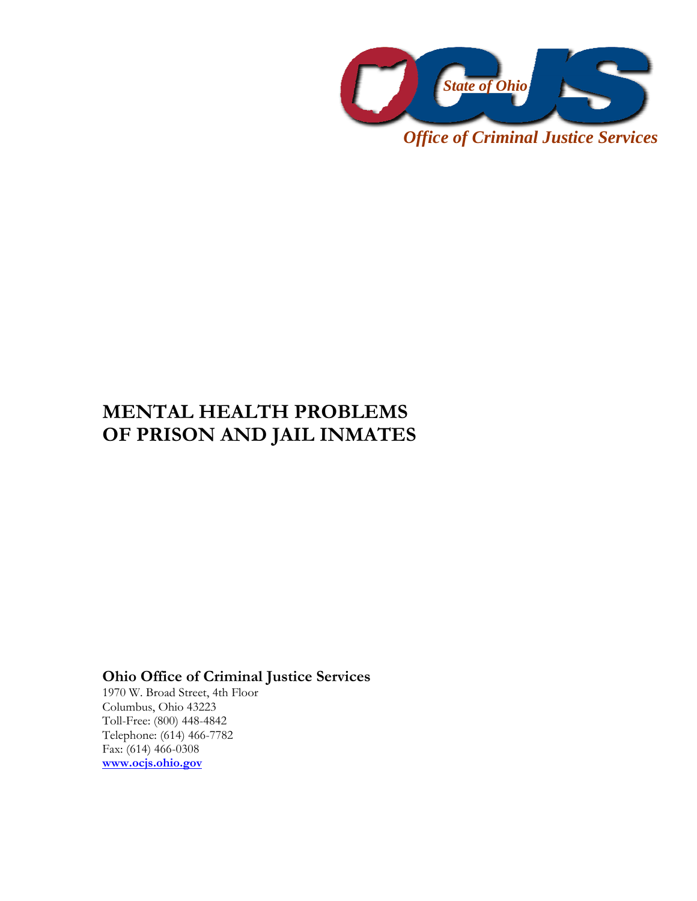

**MENTAL HEALTH PROBLEMS OF PRISON AND JAIL INMATES** 

**Ohio Office of Criminal Justice Services** 

1970 W. Broad Street, 4th Floor Columbus, Ohio 43223 Toll-Free: (800) 448-4842 Telephone: (614) 466-7782 Fax: (614) 466-0308 **www.ocjs.ohio.gov**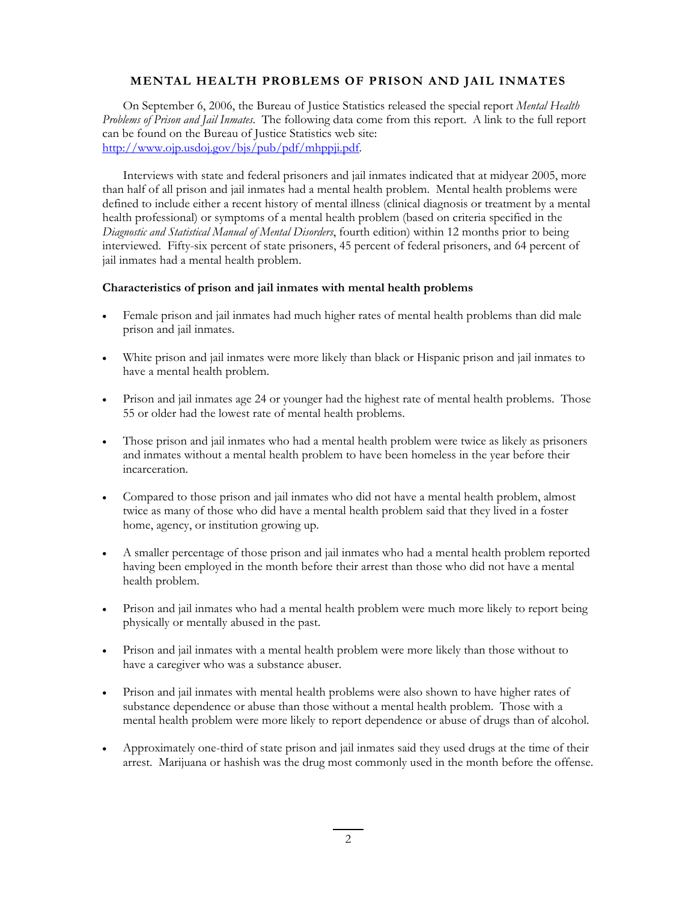## **MENTAL HEALTH PROBLEMS OF PRISON AND JAIL INMATES**

On September 6, 2006, the Bureau of Justice Statistics released the special report *Mental Health Problems of Prison and Jail Inmates*. The following data come from this report. A link to the full report can be found on the Bureau of Justice Statistics web site: http://www.ojp.usdoj.gov/bjs/pub/pdf/mhppji.pdf.

Interviews with state and federal prisoners and jail inmates indicated that at midyear 2005, more than half of all prison and jail inmates had a mental health problem. Mental health problems were defined to include either a recent history of mental illness (clinical diagnosis or treatment by a mental health professional) or symptoms of a mental health problem (based on criteria specified in the *Diagnostic and Statistical Manual of Mental Disorders*, fourth edition) within 12 months prior to being interviewed. Fifty-six percent of state prisoners, 45 percent of federal prisoners, and 64 percent of jail inmates had a mental health problem.

## **Characteristics of prison and jail inmates with mental health problems**

- Female prison and jail inmates had much higher rates of mental health problems than did male prison and jail inmates.
- White prison and jail inmates were more likely than black or Hispanic prison and jail inmates to have a mental health problem.
- Prison and jail inmates age 24 or younger had the highest rate of mental health problems. Those 55 or older had the lowest rate of mental health problems.
- Those prison and jail inmates who had a mental health problem were twice as likely as prisoners and inmates without a mental health problem to have been homeless in the year before their incarceration.
- Compared to those prison and jail inmates who did not have a mental health problem, almost twice as many of those who did have a mental health problem said that they lived in a foster home, agency, or institution growing up.
- A smaller percentage of those prison and jail inmates who had a mental health problem reported having been employed in the month before their arrest than those who did not have a mental health problem.
- Prison and jail inmates who had a mental health problem were much more likely to report being physically or mentally abused in the past.
- Prison and jail inmates with a mental health problem were more likely than those without to have a caregiver who was a substance abuser.
- Prison and jail inmates with mental health problems were also shown to have higher rates of substance dependence or abuse than those without a mental health problem. Those with a mental health problem were more likely to report dependence or abuse of drugs than of alcohol.
- Approximately one-third of state prison and jail inmates said they used drugs at the time of their arrest. Marijuana or hashish was the drug most commonly used in the month before the offense.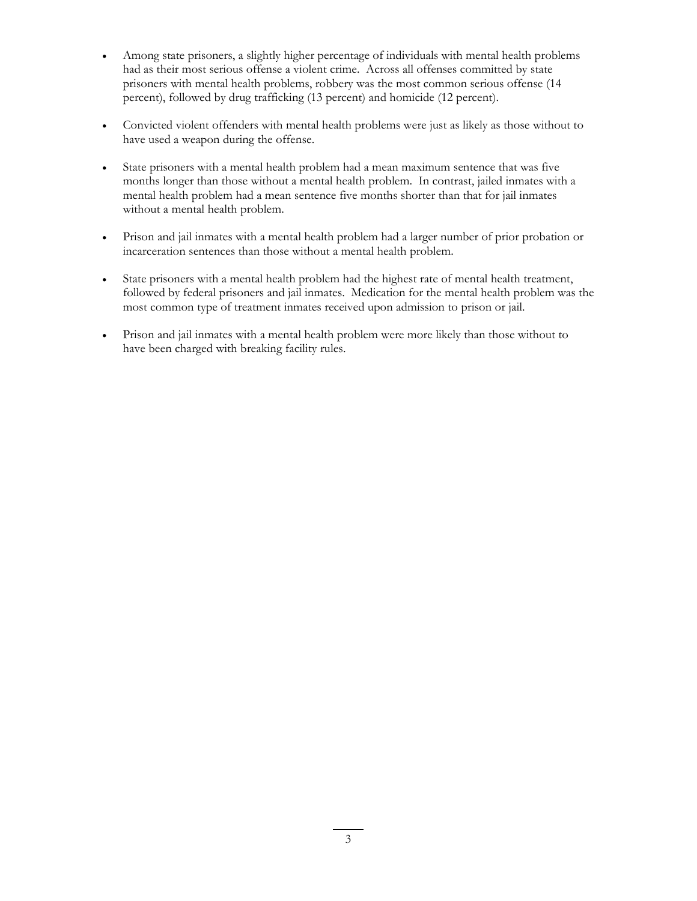- Among state prisoners, a slightly higher percentage of individuals with mental health problems had as their most serious offense a violent crime. Across all offenses committed by state prisoners with mental health problems, robbery was the most common serious offense (14 percent), followed by drug trafficking (13 percent) and homicide (12 percent).
- Convicted violent offenders with mental health problems were just as likely as those without to have used a weapon during the offense.
- State prisoners with a mental health problem had a mean maximum sentence that was five months longer than those without a mental health problem. In contrast, jailed inmates with a mental health problem had a mean sentence five months shorter than that for jail inmates without a mental health problem.
- Prison and jail inmates with a mental health problem had a larger number of prior probation or incarceration sentences than those without a mental health problem.
- State prisoners with a mental health problem had the highest rate of mental health treatment, followed by federal prisoners and jail inmates. Medication for the mental health problem was the most common type of treatment inmates received upon admission to prison or jail.
- Prison and jail inmates with a mental health problem were more likely than those without to have been charged with breaking facility rules.